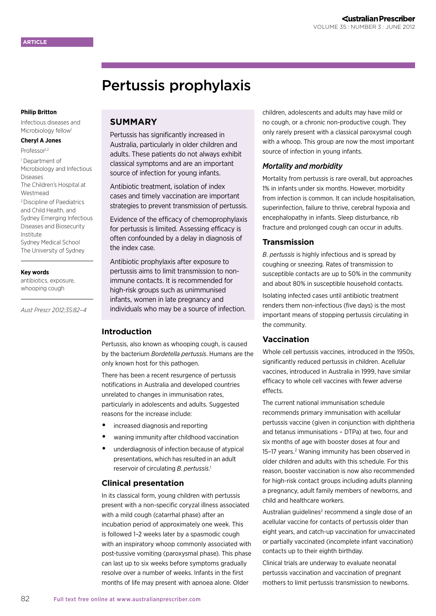# Pertussis prophylaxis

#### **Philip Britton**

Infectious diseases and Microbiology fellow<sup>1</sup>

## **Cheryl A Jones**

- Professor<sup>1,2</sup>
- 1 Department of Microbiology and Infectious Diseases The Children's Hospital at Westmead 2 Discipline of Paediatrics and Child Health, and Sydney Emerging Infectious Diseases and Biosecurity Institute Sydney Medical School The University of Sydney

#### **Key words**

antibiotics, exposure, whooping cough

*Aust Prescr 2012;35:82–4*

## **SUMMARY**

Pertussis has significantly increased in Australia, particularly in older children and adults. These patients do not always exhibit classical symptoms and are an important source of infection for young infants.

Antibiotic treatment, isolation of index cases and timely vaccination are important strategies to prevent transmission of pertussis.

Evidence of the efficacy of chemoprophylaxis for pertussis is limited. Assessing efficacy is often confounded by a delay in diagnosis of the index case.

Antibiotic prophylaxis after exposure to pertussis aims to limit transmission to nonimmune contacts. It is recommended for high-risk groups such as unimmunised infants, women in late pregnancy and individuals who may be a source of infection.

#### **Introduction**

Pertussis, also known as whooping cough, is caused by the bacterium *Bordetella pertussis*. Humans are the only known host for this pathogen.

There has been a recent resurgence of pertussis notifications in Australia and developed countries unrelated to changes in immunisation rates, particularly in adolescents and adults. Suggested reasons for the increase include:

- **•** increased diagnosis and reporting
- **•** waning immunity after childhood vaccination
- **•** underdiagnosis of infection because of atypical presentations, which has resulted in an adult reservoir of circulating *B. pertussis*. 1

#### **Clinical presentation**

In its classical form, young children with pertussis present with a non-specific coryzal illness associated with a mild cough (catarrhal phase) after an incubation period of approximately one week. This is followed 1–2 weeks later by a spasmodic cough with an inspiratory whoop commonly associated with post-tussive vomiting (paroxysmal phase). This phase can last up to six weeks before symptoms gradually resolve over a number of weeks. Infants in the first months of life may present with apnoea alone. Older

children, adolescents and adults may have mild or no cough, or a chronic non-productive cough. They only rarely present with a classical paroxysmal cough with a whoop. This group are now the most important source of infection in young infants.

#### *Mortality and morbidity*

Mortality from pertussis is rare overall, but approaches 1% in infants under six months. However, morbidity from infection is common. It can include hospitalisation, superinfection, failure to thrive, cerebral hypoxia and encephalopathy in infants. Sleep disturbance, rib fracture and prolonged cough can occur in adults.

#### **Transmission**

*B. pertussis* is highly infectious and is spread by coughing or sneezing. Rates of transmission to susceptible contacts are up to 50% in the community and about 80% in susceptible household contacts. Isolating infected cases until antibiotic treatment renders them non-infectious (five days) is the most important means of stopping pertussis circulating in the community.

### **Vaccination**

Whole cell pertussis vaccines, introduced in the 1950s, significantly reduced pertussis in children. Acellular vaccines, introduced in Australia in 1999, have similar efficacy to whole cell vaccines with fewer adverse effects.

The current national immunisation schedule recommends primary immunisation with acellular pertussis vaccine (given in conjunction with diphtheria and tetanus immunisations – DTPa) at two, four and six months of age with booster doses at four and 15-17 years.<sup>2</sup> Waning immunity has been observed in older children and adults with this schedule. For this reason, booster vaccination is now also recommended for high-risk contact groups including adults planning a pregnancy, adult family members of newborns, and child and healthcare workers.

Australian guidelines<sup>2</sup> recommend a single dose of an acellular vaccine for contacts of pertussis older than eight years, and catch-up vaccination for unvaccinated or partially vaccinated (incomplete infant vaccination) contacts up to their eighth birthday.

Clinical trials are underway to evaluate neonatal pertussis vaccination and vaccination of pregnant mothers to limit pertussis transmission to newborns.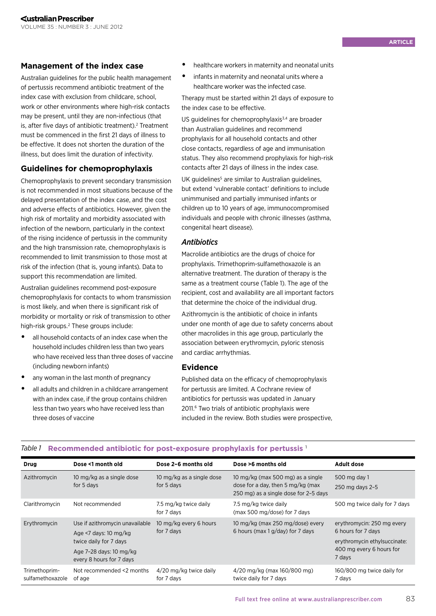## **Management of the index case**

Australian guidelines for the public health management of pertussis recommend antibiotic treatment of the index case with exclusion from childcare, school, work or other environments where high-risk contacts may be present, until they are non-infectious (that is, after five days of antibiotic treatment).<sup>2</sup> Treatment must be commenced in the first 21 days of illness to be effective. It does not shorten the duration of the illness, but does limit the duration of infectivity.

## **Guidelines for chemoprophylaxis**

Chemoprophylaxis to prevent secondary transmission is not recommended in most situations because of the delayed presentation of the index case, and the cost and adverse effects of antibiotics. However, given the high risk of mortality and morbidity associated with infection of the newborn, particularly in the context of the rising incidence of pertussis in the community and the high transmission rate, chemoprophylaxis is recommended to limit transmission to those most at risk of the infection (that is, young infants). Data to support this recommendation are limited.

Australian guidelines recommend post-exposure chemoprophylaxis for contacts to whom transmission is most likely, and when there is significant risk of morbidity or mortality or risk of transmission to other high-risk groups.<sup>2</sup> These groups include:

- **•** all household contacts of an index case when the household includes children less than two years who have received less than three doses of vaccine (including newborn infants)
- **•** any woman in the last month of pregnancy
- **•** all adults and children in a childcare arrangement with an index case, if the group contains children less than two years who have received less than three doses of vaccine
- **•** healthcare workers in maternity and neonatal units
- **•** infants in maternity and neonatal units where a healthcare worker was the infected case.

Therapy must be started within 21 days of exposure to the index case to be effective.

US quidelines for chemoprophylaxis $3,4$  are broader than Australian guidelines and recommend prophylaxis for all household contacts and other close contacts, regardless of age and immunisation status. They also recommend prophylaxis for high-risk contacts after 21 days of illness in the index case.

UK guidelines<sup>5</sup> are similar to Australian guidelines, but extend 'vulnerable contact' definitions to include unimmunised and partially immunised infants or children up to 10 years of age, immunocompromised individuals and people with chronic illnesses (asthma, congenital heart disease).

#### *Antibiotics*

Macrolide antibiotics are the drugs of choice for prophylaxis. Trimethoprim-sulfamethoxazole is an alternative treatment. The duration of therapy is the same as a treatment course (Table 1). The age of the recipient, cost and availability are all important factors that determine the choice of the individual drug.

Azithromycin is the antibiotic of choice in infants under one month of age due to safety concerns about other macrolides in this age group, particularly the association between erythromycin, pyloric stenosis and cardiac arrhythmias.

#### **Evidence**

Published data on the efficacy of chemoprophylaxis for pertussis are limited. A Cochrane review of antibiotics for pertussis was updated in January 2011.6 Two trials of antibiotic prophylaxis were included in the review. Both studies were prospective,

| Drug                              | Dose <1 month old                                                                                                                         | Dose 2-6 months old                     | Dose >6 months old                                                                                              | <b>Adult dose</b>                                                                                                      |
|-----------------------------------|-------------------------------------------------------------------------------------------------------------------------------------------|-----------------------------------------|-----------------------------------------------------------------------------------------------------------------|------------------------------------------------------------------------------------------------------------------------|
| Azithromycin                      | 10 mg/kg as a single dose<br>for 5 days                                                                                                   | 10 mg/kg as a single dose<br>for 5 days | 10 mg/kg (max 500 mg) as a single<br>dose for a day, then 5 mg/kg (max<br>250 mg) as a single dose for 2-5 days | 500 mg day 1<br>250 mg days 2-5                                                                                        |
| Clarithromycin                    | Not recommended                                                                                                                           | 7.5 mg/kg twice daily<br>for 7 days     | 7.5 mg/kg twice daily<br>(max 500 mg/dose) for 7 days                                                           | 500 mg twice daily for 7 days                                                                                          |
| Erythromycin                      | Use if azithromycin unavailable<br>Age <7 days: 10 mg/kg<br>twice daily for 7 days<br>Age 7-28 days: 10 mg/kg<br>every 8 hours for 7 days | 10 mg/kg every 6 hours<br>for 7 days    | 10 mg/kg (max 250 mg/dose) every<br>6 hours (max 1 g/day) for 7 days                                            | erythromycin: 250 mg every<br>6 hours for 7 days<br>erythromycin ethylsuccinate:<br>400 mg every 6 hours for<br>7 days |
| Trimethoprim-<br>sulfamethoxazole | Not recommended <2 months<br>of age                                                                                                       | 4/20 mg/kg twice daily<br>for 7 days    | 4/20 mg/kg (max 160/800 mg)<br>twice daily for 7 days                                                           | 160/800 mg twice daily for<br>7 days                                                                                   |

#### *Table 1* **Recommended antibiotic for post-exposure prophylaxis for pertussis** <sup>1</sup>